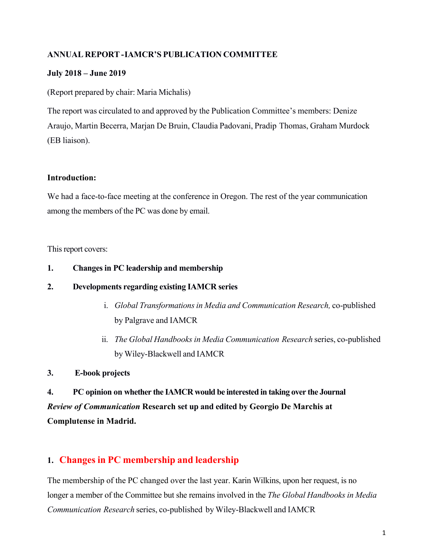### **ANNUAL REPORT-IAMCR'S PUBLICATION COMMITTEE**

#### **July 2018 – June 2019**

(Report prepared by chair: Maria Michalis)

The report was circulated to and approved by the Publication Committee's members: Denize Araujo, Martin Becerra, Marjan De Bruin, Claudia Padovani, Pradip Thomas, Graham Murdock (EB liaison).

#### **Introduction:**

We had a face-to-face meeting at the conference in Oregon. The rest of the year communication among the members of the PC was done by email.

This report covers:

#### **1. Changesin PC leadership and membership**

#### **2. Developments regarding existing IAMCR series**

- i. *Global Transformationsin Media and Communication Research,* co-published by Palgrave and IAMCR
- ii. *The Global Handbooks in Media Communication Research* series, co-published by Wiley-Blackwell and IAMCR
- **3. E-book projects**

**4. PC opinion on whether the IAMCR would be interested in taking over the Journal**  *Review of Communication* **Research set up and edited by Georgio De Marchis at Complutense in Madrid.**

# **1. Changes in PC membership and leadership**

The membership of the PC changed over the last year. Karin Wilkins, upon her request, is no longer a member of the Committee but she remains involved in the *The Global Handbooks in Media Communication Research* series, co-published by Wiley-Blackwell and IAMCR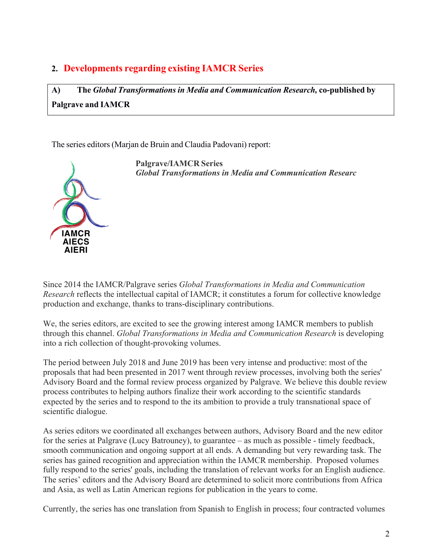# **2. Developments regarding existing IAMCR Series**

**A) The** *Global Transformations in Media and Communication Research,* **co-published by Palgrave and IAMCR**

The series editors (Marjan de Bruin and Claudia Padovani) report:



**Palgrave/IAMCR Series** *Global Transformations in Media and Communication Researc*

Since 2014 the IAMCR/Palgrave series *Global Transformations in Media and Communication Research* reflects the intellectual capital of IAMCR; it constitutes a forum for collective knowledge production and exchange, thanks to trans-disciplinary contributions.

We, the series editors, are excited to see the growing interest among IAMCR members to publish through this channel. *Global Transformations in Media and Communication Research* is developing into a rich collection of thought-provoking volumes.

The period between July 2018 and June 2019 has been very intense and productive: most of the proposals that had been presented in 2017 went through review processes, involving both the series' Advisory Board and the formal review process organized by Palgrave. We believe this double review process contributes to helping authors finalize their work according to the scientific standards expected by the series and to respond to the its ambition to provide a truly transnational space of scientific dialogue.

As series editors we coordinated all exchanges between authors, Advisory Board and the new editor for the series at Palgrave (Lucy Batrouney), to guarantee – as much as possible - timely feedback, smooth communication and ongoing support at all ends. A demanding but very rewarding task. The series has gained recognition and appreciation within the IAMCR membership. Proposed volumes fully respond to the series' goals, including the translation of relevant works for an English audience. The series' editors and the Advisory Board are determined to solicit more contributions from Africa and Asia, as well as Latin American regions for publication in the years to come.

Currently, the series has one translation from Spanish to English in process; four contracted volumes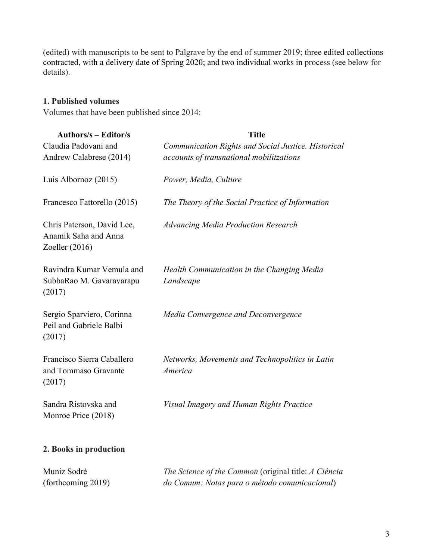(edited) with manuscripts to be sent to Palgrave by the end of summer 2019; three edited collections contracted, with a delivery date of Spring 2020; and two individual works in process (see below for details).

#### **1. Published volumes**

Volumes that have been published since 2014:

| <b>Authors/s – Editor/s</b>                                            | <b>Title</b>                                               |
|------------------------------------------------------------------------|------------------------------------------------------------|
| Claudia Padovani and                                                   | Communication Rights and Social Justice. Historical        |
| Andrew Calabrese (2014)                                                | accounts of transnational mobilitzations                   |
| Luis Albornoz (2015)                                                   | Power, Media, Culture                                      |
| Francesco Fattorello (2015)                                            | The Theory of the Social Practice of Information           |
| Chris Paterson, David Lee,<br>Anamik Saha and Anna<br>Zoeller $(2016)$ | <b>Advancing Media Production Research</b>                 |
| Ravindra Kumar Vemula and<br>SubbaRao M. Gavaravarapu<br>(2017)        | Health Communication in the Changing Media<br>Landscape    |
| Sergio Sparviero, Corinna<br>Peil and Gabriele Balbi<br>(2017)         | Media Convergence and Deconvergence                        |
| Francisco Sierra Caballero<br>and Tommaso Gravante<br>(2017)           | Networks, Movements and Technopolitics in Latin<br>America |
| Sandra Ristovska and<br>Monroe Price (2018)                            | Visual Imagery and Human Rights Practice                   |
| 2. Books in production                                                 |                                                            |
| Muniz Sodrè                                                            | The Science of the Common (original title: A Ciência       |
| (forthcoming 2019)                                                     | do Comum: Notas para o método comunicacional)              |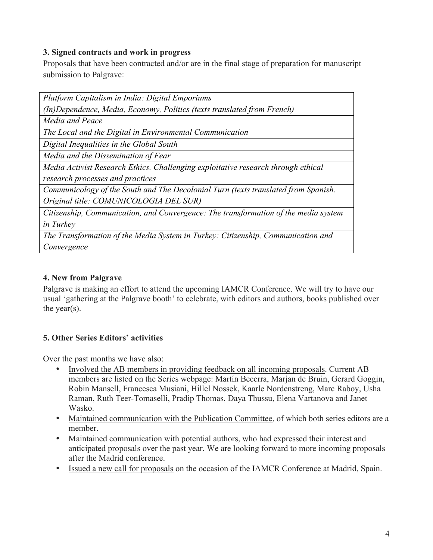#### **3. Signed contracts and work in progress**

Proposals that have been contracted and/or are in the final stage of preparation for manuscript submission to Palgrave:

| Platform Capitalism in India: Digital Emporiums                                     |  |
|-------------------------------------------------------------------------------------|--|
| (In)Dependence, Media, Economy, Politics (texts translated from French)             |  |
| Media and Peace                                                                     |  |
| The Local and the Digital in Environmental Communication                            |  |
| Digital Inequalities in the Global South                                            |  |
| Media and the Dissemination of Fear                                                 |  |
| Media Activist Research Ethics. Challenging exploitative research through ethical   |  |
| research processes and practices                                                    |  |
| Communicology of the South and The Decolonial Turn (texts translated from Spanish.  |  |
| Original title: COMUNICOLOGIA DEL SUR)                                              |  |
| Citizenship, Communication, and Convergence: The transformation of the media system |  |
| <i>in Turkey</i>                                                                    |  |
| The Transformation of the Media System in Turkey: Citizenship, Communication and    |  |
| Convergence                                                                         |  |
|                                                                                     |  |

# **4. New from Palgrave**

Palgrave is making an effort to attend the upcoming IAMCR Conference. We will try to have our usual 'gathering at the Palgrave booth' to celebrate, with editors and authors, books published over the year(s).

## **5. Other Series Editors' activities**

Over the past months we have also:

- Involved the AB members in providing feedback on all incoming proposals. Current AB members are listed on the Series webpage: Martín Becerra, Marjan de Bruin, Gerard Goggin, Robin Mansell, Francesca Musiani, Hillel Nossek, Kaarle Nordenstreng, Marc Raboy, Usha Raman, Ruth Teer-Tomaselli, Pradip Thomas, Daya Thussu, Elena Vartanova and Janet Wasko.
- Maintained communication with the Publication Committee, of which both series editors are a member.
- Maintained communication with potential authors, who had expressed their interest and anticipated proposals over the past year. We are looking forward to more incoming proposals after the Madrid conference.
- Issued a new call for proposals on the occasion of the IAMCR Conference at Madrid, Spain.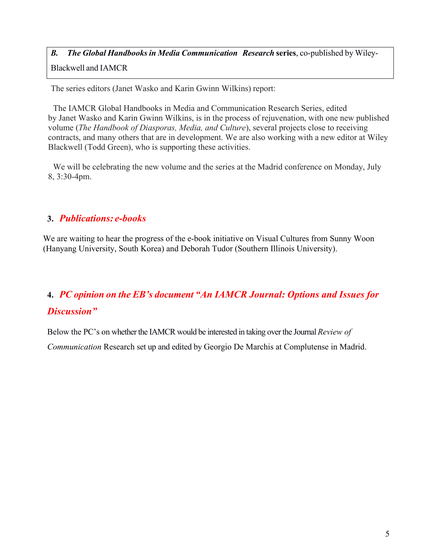# *B. The Global Handbooks in Media Communication Research* **series**, co-published by Wiley-Blackwell and IAMCR

The series editors (Janet Wasko and Karin Gwinn Wilkins) report:

The IAMCR Global Handbooks in Media and Communication Research Series, edited by Janet Wasko and Karin Gwinn Wilkins, is in the process of rejuvenation, with one new published volume (*The Handbook of Diasporas, Media, and Culture*), several projects close to receiving contracts, and many others that are in development. We are also working with a new editor at Wiley Blackwell (Todd Green), who is supporting these activities.

We will be celebrating the new volume and the series at the Madrid conference on Monday, July 8, 3:30-4pm.

# **3.** *Publications: e-books*

We are waiting to hear the progress of the e-book initiative on Visual Cultures from Sunny Woon (Hanyang University, South Korea) and Deborah Tudor (Southern Illinois University).

# **4.** *PC opinion on the EB's document "An IAMCR Journal: Options and Issues for Discussion"*

Below the PC's on whether the IAMCR would be interested in taking over the Journal *Review of Communication* Research set up and edited by Georgio De Marchis at Complutense in Madrid.